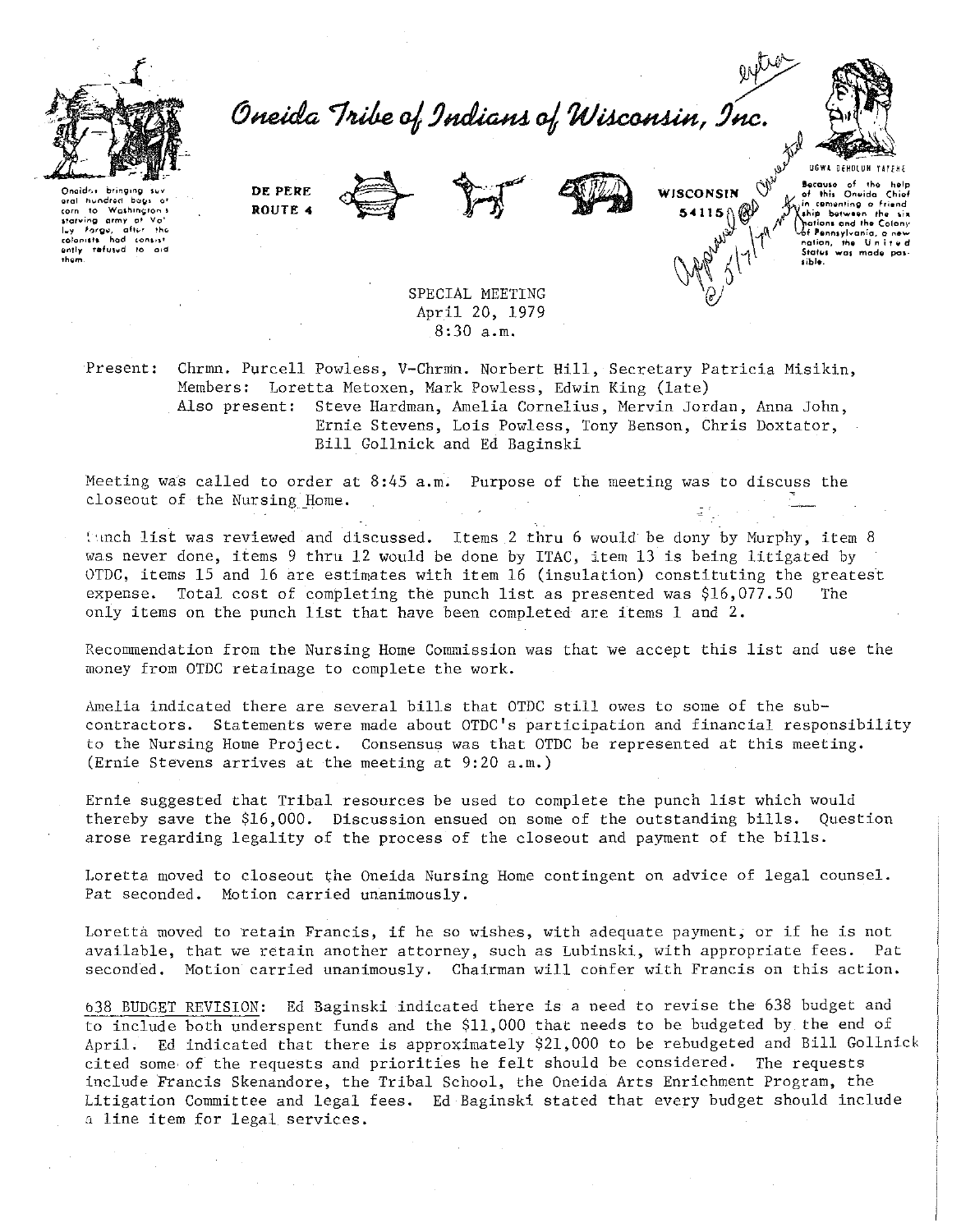

Oneida Tribe of Indians of Wisconsin, Inc.



hundred Washington s corn to starving army at Vo!<br>luy Forgu, after the<br>colonists had consist refused to them

DE PERE ROUTE 4





WISCONSIN 54115

DOWA DEHOLUM YA Because of the this Oneida  $\tilde{\mathbf{d}}$ in comenting a fri ....<br>Lhip Chations and the Colony<br>Oof Pennsylvania, a new nation, the U.n.<br>States was mode sible.

SPECIAL MEETING April 20, 1979  $8:30$  a.m.

Present: Chrmn. Purcell Powless, V-Chrmn. Norbert Hill, Secretary Patricia Misikin, Members: Loretta Metoxen, Mark Powless, Edwin King (late) Also present: Steve Hardman, Amelia Cornelius, Mervin Jordan, Anna John, Ernie Stevens, Lois Powless, Tony Benson, Chris Doxtator, Bill Gollnick and Ed Baginski

Meeting was called to order at 8:45 a.m. Purpose of the meeting was to discuss the closeout of the Nursing Home.

Funch list was reviewed and discussed. Items 2 thru 6 would be dony by Murphy, item 8 was never done, items 9 thru 12 would be done by ITAC, item 13 is being litigated by OTDC, items 15 and 16 are estimates with item 16 (insulation) constituting the greatest expense. Total cost of completing the punch list as presented was \$16,077.50 The only items on the punch list that have been completed are items 1 and 2.

Recommendation from the Nursing Home Commission was that we accept this list and use the money from OTDC retainage to complete the work.

Amelia indicated there are several bills that OTDC still owes to some of the subcontractors. Statements were made about OTDC's participation and financial responsibility to the Nursing Home Project. Consensus was that OTDC be represented at this meeting. (Ernie Stevens arrives at the meeting at 9:20 a.m.)

Ernie suggested that Tribal resources be used to complete the punch list which would thereby save the \$16,000. Discussion ensued on some of the outstanding bills. Question arose regarding legality of the process of the closeout and payment of the bills.

Loretta moved to closeout the Oneida Nursing Home contingent on advice of legal counsel. Pat seconded. Motion carried unanimously.

Loretta moved to retain Francis, if he so wishes, with adequate payment, or if he is not available, that we retain another attorney, such as Lubinski, with appropriate fees. Pat seconded. Motion carried unanimously. Chairman will confer with Francis on this action.

638 BUDGET REVISION: Ed Baginski indicated there is a need to revise the 638 budget and to include both underspent funds and the \$11,000 that needs to be budgeted by the end of April. Ed indicated that there is approximately \$21,000 to be rebudgeted and Bill Gollnick cited some of the requests and priorities he felt should be considered. The requests include Francis Skenandore, the Tribal School, the Oneida Arts Enrichment Program, the Litigation Committee and legal fees. Ed Baginski stated that every budget should include a line item for legal services.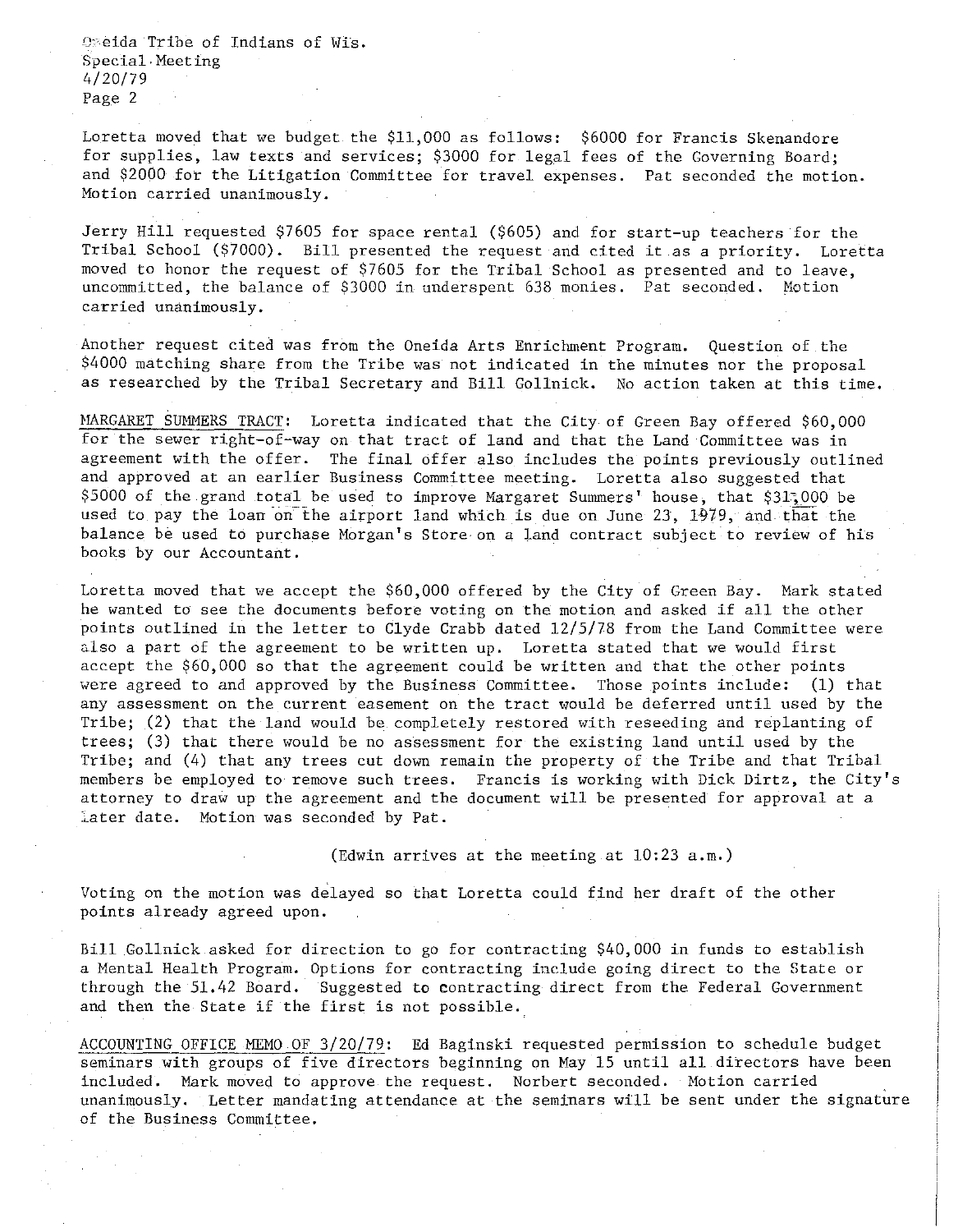*'Y* eida Tribe of Indians of Wis. Special·Meeting 4/20/79 Page 2

Loretta moved that we budget the \$11,000 as follows: \$6000 for Francis Skenandore for supplies, law texts and services; \$3000 for legal fees of the Governing Board; and \$2000 for the Litigation Committee for travel expenses. Pat seconded the motion. **Motion carried unanimously.** 

Jerry Hill requested \$7605 for space rental (\$605) and for start-up teachers for the Tribal School (\$7000). Bill presented the request and cited it as a priority. Loretta moved to honor the request of \$7605 for the Tribal School as presented and to leave, uncommitted, the balance of \$3000 in under spent 638 monies. Pat seconded. Motion **carried unanimously.** 

Another request cited was from the Oneida Arts Enrichment Program. Question of the \$4000 matching share from the Tribe was not indicated in the minutes nor the proposal as researched by the Tribal Secretary and Bill Gollnick. No action taken at this time.

MARGARET SUMMERS TRACT: Loretta indicated that the City of Green Bay offered \$60,000 for the sewer right-of-way on that tract of land and that the Land Committee was in agreement with the offer. The final offer also includes the points previously outlined and approved at an earlier Business Committee meeting. Loretta also suggested that \$5000 of the grand total be used to improve Margaret Summers' house, that \$31~000 be used to pay the loan on the airport land which is due on June 23, 1979, and that the balance be used to purchase Morgan's Store· on a land contract subject to review of his books by our Accountant.

Loretta moved that we accept the \$60,000 offered by the City of Green Bay. Mark stated he wanted to see the documents before voting on the motion and asked if all the other points outlined in the letter to Clyde Crabb dated 12/5/78 from the Land Committee were also a part of the agreement to be written up. Loretta stated that we would first accept the \$60,000 so that the agreement could be written and that the other points were agreed to and approved by the Business Committee. Those points include: (1) that any assessment on the current easement on the tract would be deferred until used by the Tribe; (2) that the land would be completely restored with reseeding and replanting of trees; (3) that there would be no assessment for the existing land until used by the Tribe; and (4) that any trees cut down remain the property of the Tribe and that Tribal members be employed to remove such trees. Francis is working with Dick Dirtz, the City's attorney to draw up the agreement and the document will be presented for approval at a Later date. Motion was seconded by Pat.

(Edwin arrives at the meeting at 10:23 a.m.)

Voting on the motion was delayed so that Loretta could find her draft of the other points already agreed upon.

Bill Gollnick asked for direction to go for contracting \$40,000 in funds to establish a Mental Health Program. Options for contracting include going direct to the State or through the 51.42 Board. Suggested to contracting direct from the Federal Government and then the State if the first is not possible.

ACCOUNTING OFFICE MEMO OF 3/20/79: Ed Baginski requested permission to schedule budget seminars with groups of five directors beginning on May 15 until all directors have been included. Mark moved to approve the request. Norbert seconded. Motion carried unanimously. Letter mandating attendance at the seminars will be sent under the signature of the Business Committee.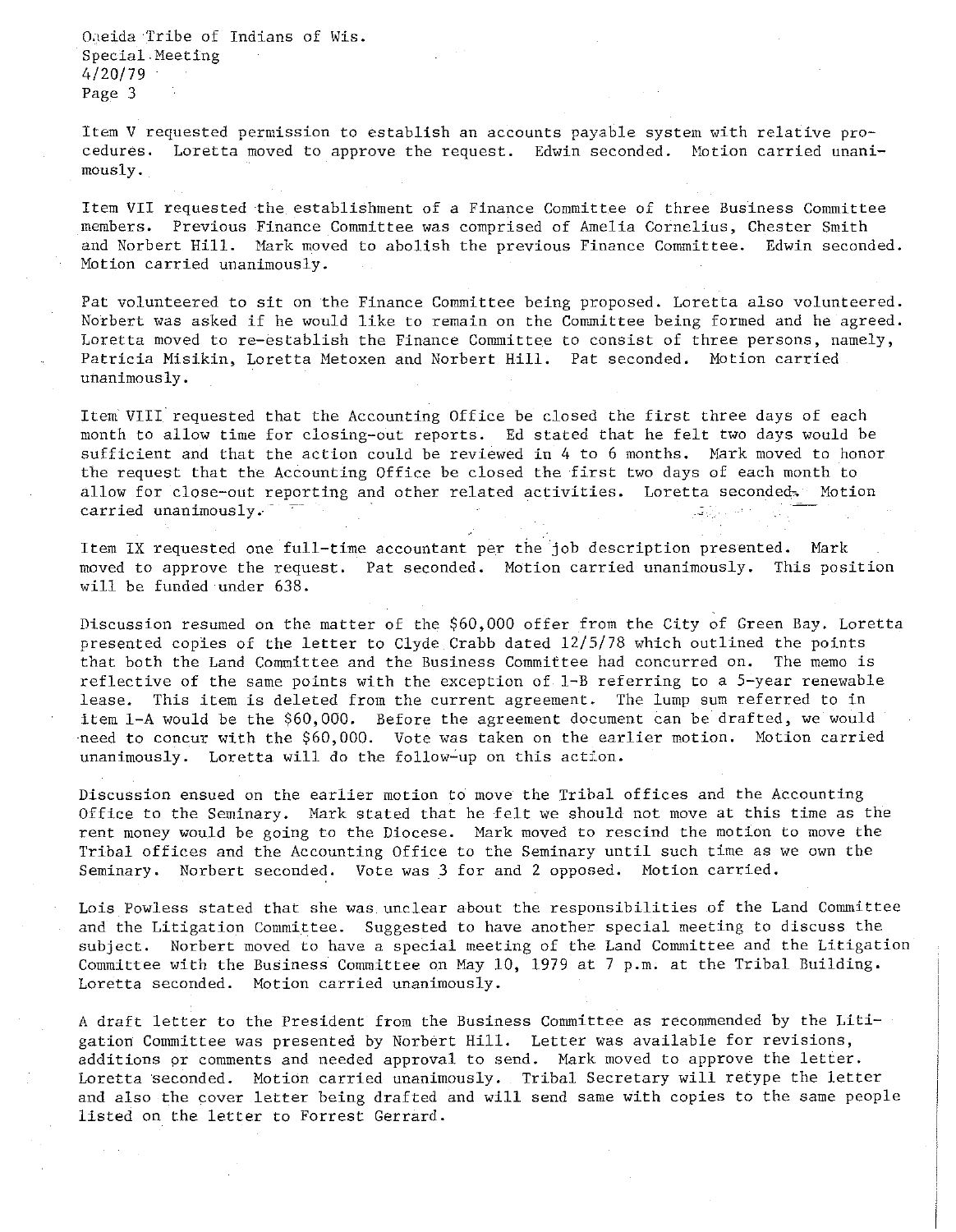Ogeida Tribe of Indians of Wis. Special.Meeting 4/20/79 Page 3

Item V requested permission to establish an accounts payable system with relative procedures. Loretta moved to approve the request. Edwin seconded. Motion carried unanimously.

Item VII requested the establishment of a Finance Committee of three Business Committee **members. Previous**  Finance Committee was comprised of Amelia Cornelius, Chester Smith and Norbert Hill. Mark moved to abolish the previous Finance Committee. Edwin seconded. **Motion carried unanimously.** 

Pat volunteered to sit on the Finance Committee being proposed. Loretta also volunteered. Norbert was asked if he would like to remain on the Committee being formed and he agreed. **Loretta moved to re-establish the Finance Committee to consist of three persons, namely,**  Patricia Misikin, Loretta Metoxen and Norbert Hill. Pat seconded. Motion carried **unanimously.** 

Item VIII requested that the Accounting Office be closed the first three days of each month to allow time for closing-out reports. Ed stated that he felt two days would be sufficient and that the action could be reviewed in 4 to 6 months. Mark moved to honor the request that the Accounting Office be closed the first two days of each month to allow for close-out reporting and other related activities. Loretta seconded, Motion **carried unanimously .. -**

Item IX requested one full-time accountant per the job description presented. Mark moved to approve the request. Pat seconded. Motion carried unanimously. This position will be funded under 638.

Discussion resumed on the matter of the \$60,000 offer from the City of Green Bay. Loretta presented copies of the letter to Clyde Crabb dated 12/5/78 which outlined the points that both the Land Committee and the Business Committee had concurred on. The memo is reflective of the same points with the exception of 1-B referring to a 5-year renewable lease. This item is deleted from the current agreement. The lump sum referred to in item 1-A would be the \$60,000. Before the agreement document can be drafted, we would need to concur with the \$60,000. Vote was taken on the earlier motion. Motion carried unanimously. Loretta will do the follow-up on this action.

Discussion ensued on the earlier motion to move the Tribal offices and the Accounting Office to the Seminary. Mark stated that he felt we should not move at this time as the rent money would be going to the Diocese. Mark moved to rescind the motion to move the Tribal offices and the Accounting Office to the Seminary until such time as we own the Seminary. Norbert seconded. Vote was 3 for and 2 opposed. Motion carried.

Lois Powless stated that she was unclear about the responsibilities of the Land Committee and the Litigation Committee. Suggested to have another special meeting to discuss the subject. Norbert moved to have a special meeting of the Land Committee and the Litigation Committee with the Business Committee on May 10, 1979 at 7 p.m. at the Tribal Building. **Loretta seconded. Motion carried unanimously.** 

A draft letter to the President from the Business Committee as recommended by the Litigation Committee was presented by Norbert Hill. Letter was available for revisions, additions pr comments and needed approval to send. Mark moved to approve the letter. Loretta seconded. Motion carried unanimously. Tribal Secretary will retype the letter and also the cover letter being drafted and will send same with copies to the same people listed on the letter to Forrest Gerrard.